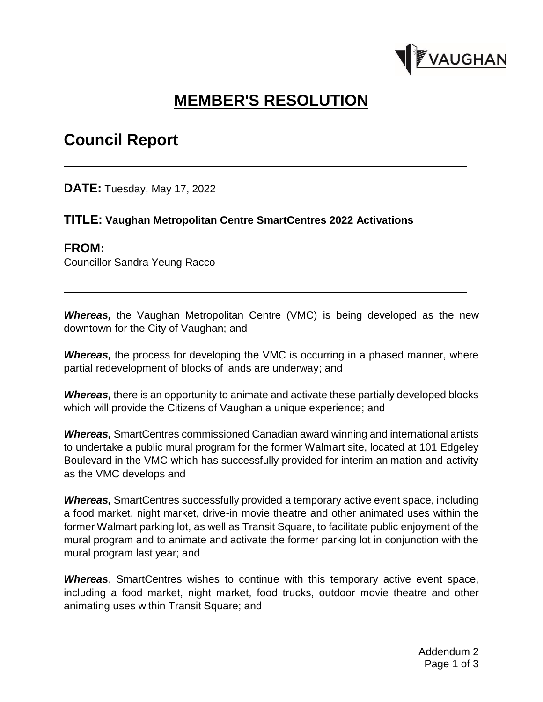

# **MEMBER'S RESOLUTION**

## **Council Report**

**DATE:** Tuesday, May 17, 2022

#### **TITLE: Vaughan Metropolitan Centre SmartCentres 2022 Activations**

#### **FROM:**

Councillor Sandra Yeung Racco

*Whereas,* the Vaughan Metropolitan Centre (VMC) is being developed as the new downtown for the City of Vaughan; and

*Whereas,* the process for developing the VMC is occurring in a phased manner, where partial redevelopment of blocks of lands are underway; and

*Whereas,* there is an opportunity to animate and activate these partially developed blocks which will provide the Citizens of Vaughan a unique experience; and

*Whereas,* SmartCentres commissioned Canadian award winning and international artists to undertake a public mural program for the former Walmart site, located at 101 Edgeley Boulevard in the VMC which has successfully provided for interim animation and activity as the VMC develops and

*Whereas,* SmartCentres successfully provided a temporary active event space, including a food market, night market, drive-in movie theatre and other animated uses within the former Walmart parking lot, as well as Transit Square, to facilitate public enjoyment of the mural program and to animate and activate the former parking lot in conjunction with the mural program last year; and

*Whereas*, SmartCentres wishes to continue with this temporary active event space, including a food market, night market, food trucks, outdoor movie theatre and other animating uses within Transit Square; and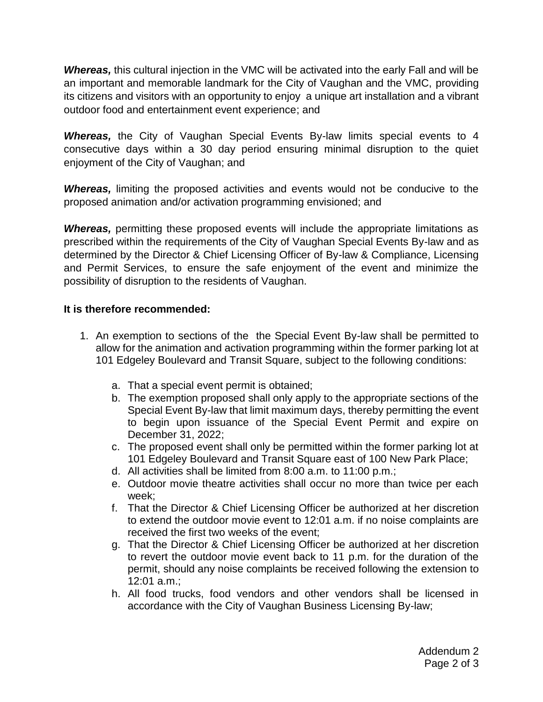*Whereas,* this cultural injection in the VMC will be activated into the early Fall and will be an important and memorable landmark for the City of Vaughan and the VMC, providing its citizens and visitors with an opportunity to enjoy a unique art installation and a vibrant outdoor food and entertainment event experience; and

*Whereas,* the City of Vaughan Special Events By-law limits special events to 4 consecutive days within a 30 day period ensuring minimal disruption to the quiet enjoyment of the City of Vaughan; and

*Whereas,* limiting the proposed activities and events would not be conducive to the proposed animation and/or activation programming envisioned; and

**Whereas,** permitting these proposed events will include the appropriate limitations as prescribed within the requirements of the City of Vaughan Special Events By-law and as determined by the Director & Chief Licensing Officer of By-law & Compliance, Licensing and Permit Services, to ensure the safe enjoyment of the event and minimize the possibility of disruption to the residents of Vaughan.

#### **It is therefore recommended:**

- 1. An exemption to sections of the the Special Event By-law shall be permitted to allow for the animation and activation programming within the former parking lot at 101 Edgeley Boulevard and Transit Square, subject to the following conditions:
	- a. That a special event permit is obtained;
	- b. The exemption proposed shall only apply to the appropriate sections of the Special Event By-law that limit maximum days, thereby permitting the event to begin upon issuance of the Special Event Permit and expire on December 31, 2022;
	- c. The proposed event shall only be permitted within the former parking lot at 101 Edgeley Boulevard and Transit Square east of 100 New Park Place;
	- d. All activities shall be limited from 8:00 a.m. to 11:00 p.m.;
	- e. Outdoor movie theatre activities shall occur no more than twice per each week;
	- f. That the Director & Chief Licensing Officer be authorized at her discretion to extend the outdoor movie event to 12:01 a.m. if no noise complaints are received the first two weeks of the event;
	- g. That the Director & Chief Licensing Officer be authorized at her discretion to revert the outdoor movie event back to 11 p.m. for the duration of the permit, should any noise complaints be received following the extension to 12:01 a.m.;
	- h. All food trucks, food vendors and other vendors shall be licensed in accordance with the City of Vaughan Business Licensing By-law;